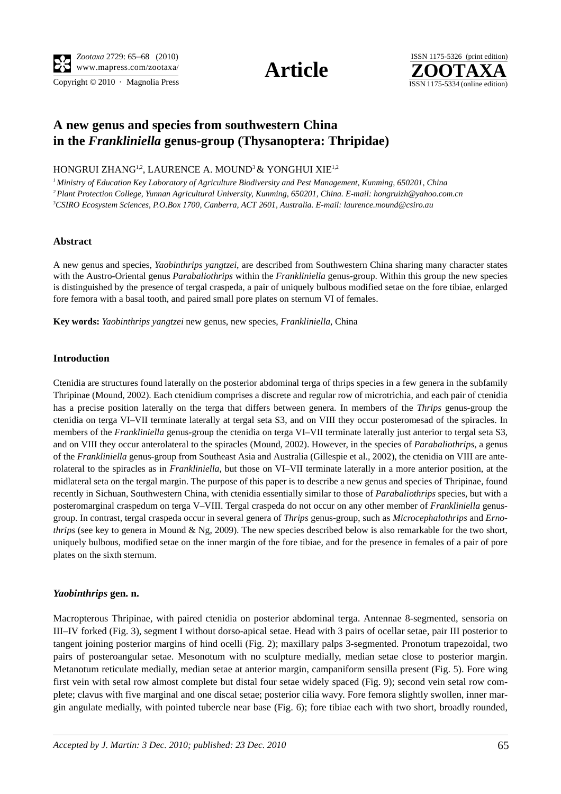Copyright  $\odot$  2010 · Magnolia Press ISSN 1175-5334 (online edition)





# **A new genus and species from southwestern China in the** *Frankliniella* **genus-group (Thysanoptera: Thripidae)**

HONGRUI ZHANG<sup>1,2</sup>, LAURENCE A. MOUND<sup>3</sup> & YONGHUI XIE<sup>1,2</sup>

*1 Ministry of Education Key Laboratory of Agriculture Biodiversity and Pest Management, Kunming, 650201, China 2 Plant Protection College, Yunnan Agricultural University, Kunming, 650201, China. E-mail: hongruizh@yahoo.com.cn 3 CSIRO Ecosystem Sciences, P.O.Box 1700, Canberra, ACT 2601, Australia. E-mail: laurence.mound@csiro.au*

#### **Abstract**

A new genus and species, *Yaobinthrips yangtzei*, are described from Southwestern China sharing many character states with the Austro-Oriental genus *Parabaliothrips* within the *Frankliniella* genus-group. Within this group the new species is distinguished by the presence of tergal craspeda, a pair of uniquely bulbous modified setae on the fore tibiae, enlarged fore femora with a basal tooth, and paired small pore plates on sternum VI of females.

**Key words:** *Yaobinthrips yangtzei* new genus, new species, *Frankliniella*, China

### **Introduction**

Ctenidia are structures found laterally on the posterior abdominal terga of thrips species in a few genera in the subfamily Thripinae (Mound, 2002). Each ctenidium comprises a discrete and regular row of microtrichia, and each pair of ctenidia has a precise position laterally on the terga that differs between genera. In members of the *Thrips* genus-group the ctenidia on terga VI–VII terminate laterally at tergal seta S3, and on VIII they occur posteromesad of the spiracles. In members of the *Frankliniella* genus-group the ctenidia on terga VI–VII terminate laterally just anterior to tergal seta S3, and on VIII they occur anterolateral to the spiracles (Mound, 2002). However, in the species of *Parabaliothrips*, a genus of the *Frankliniella* genus-group from Southeast Asia and Australia (Gillespie et al., 2002), the ctenidia on VIII are anterolateral to the spiracles as in *Frankliniella*, but those on VI–VII terminate laterally in a more anterior position, at the midlateral seta on the tergal margin. The purpose of this paper is to describe a new genus and species of Thripinae, found recently in Sichuan, Southwestern China, with ctenidia essentially similar to those of *Parabaliothrips* species, but with a posteromarginal craspedum on terga V–VIII. Tergal craspeda do not occur on any other member of *Frankliniella* genusgroup. In contrast, tergal craspeda occur in several genera of *Thrips* genus-group, such as *Microcephalothrips* and *Ernothrips* (see key to genera in Mound & Ng, 2009). The new species described below is also remarkable for the two short, uniquely bulbous, modified setae on the inner margin of the fore tibiae, and for the presence in females of a pair of pore plates on the sixth sternum.

#### *Yaobinthrips* **gen. n.**

Macropterous Thripinae, with paired ctenidia on posterior abdominal terga. Antennae 8-segmented, sensoria on III–IV forked (Fig. 3), segment I without dorso-apical setae. Head with 3 pairs of ocellar setae, pair III posterior to tangent joining posterior margins of hind ocelli (Fig. 2); maxillary palps 3-segmented. Pronotum trapezoidal, two pairs of posteroangular setae. Mesonotum with no sculpture medially, median setae close to posterior margin. Metanotum reticulate medially, median setae at anterior margin, campaniform sensilla present (Fig. 5). Fore wing first vein with setal row almost complete but distal four setae widely spaced (Fig. 9); second vein setal row complete; clavus with five marginal and one discal setae; posterior cilia wavy. Fore femora slightly swollen, inner margin angulate medially, with pointed tubercle near base (Fig. 6); fore tibiae each with two short, broadly rounded,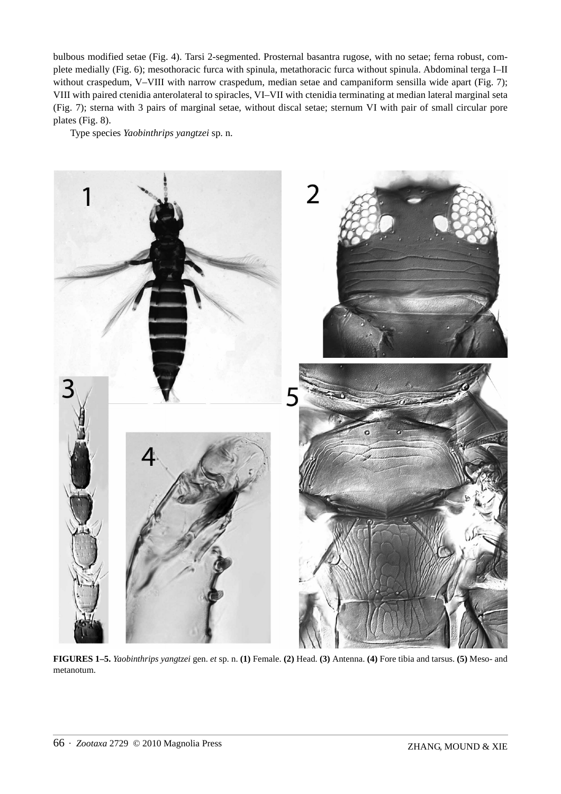bulbous modified setae (Fig. 4). Tarsi 2-segmented. Prosternal basantra rugose, with no setae; ferna robust, complete medially (Fig. 6); mesothoracic furca with spinula, metathoracic furca without spinula. Abdominal terga I–II without craspedum, V–VIII with narrow craspedum, median setae and campaniform sensilla wide apart (Fig. 7); VIII with paired ctenidia anterolateral to spiracles, VI–VII with ctenidia terminating at median lateral marginal seta (Fig. 7); sterna with 3 pairs of marginal setae, without discal setae; sternum VI with pair of small circular pore plates (Fig. 8).

Type species *Yaobinthrips yangtzei* sp. n.



**FIGURES 1–5.** *Yaobinthrips yangtzei* gen. *et* sp. n. **(1)** Female. **(2)** Head. **(3)** Antenna. **(4)** Fore tibia and tarsus. **(5)** Meso- and metanotum.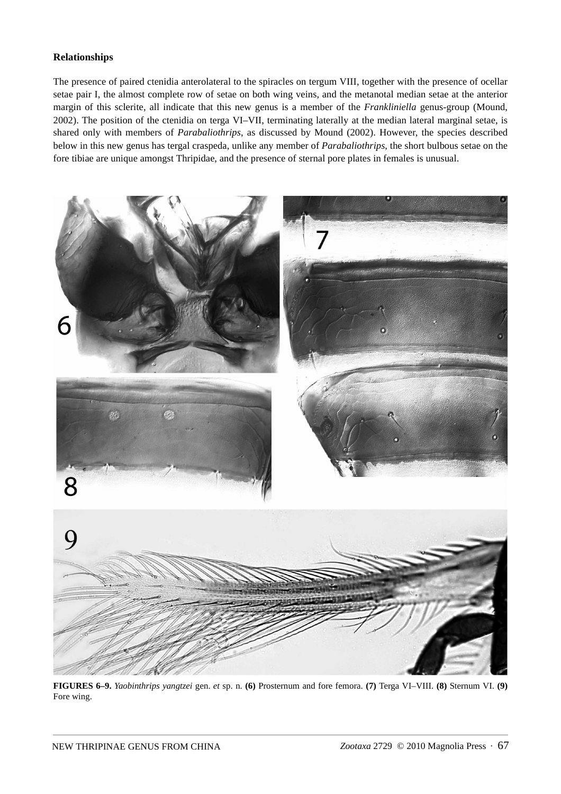# **Relationships**

The presence of paired ctenidia anterolateral to the spiracles on tergum VIII, together with the presence of ocellar setae pair I, the almost complete row of setae on both wing veins, and the metanotal median setae at the anterior margin of this sclerite, all indicate that this new genus is a member of the *Frankliniella* genus-group (Mound, 2002). The position of the ctenidia on terga VI–VII, terminating laterally at the median lateral marginal setae, is shared only with members of *Parabaliothrips*, as discussed by Mound (2002). However, the species described below in this new genus has tergal craspeda, unlike any member of *Parabaliothrips*, the short bulbous setae on the fore tibiae are unique amongst Thripidae, and the presence of sternal pore plates in females is unusual.



**FIGURES 6–9.** *Yaobinthrips yangtzei* gen. *et* sp. n. **(6)** Prosternum and fore femora. **(7)** Terga VI–VIII. **(8)** Sternum VI. **(9)** Fore wing.